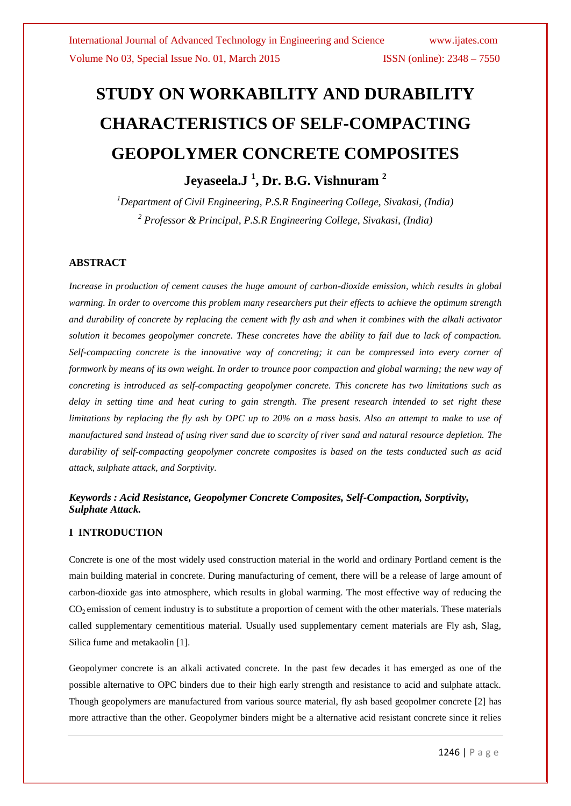# **STUDY ON WORKABILITY AND DURABILITY CHARACTERISTICS OF SELF-COMPACTING GEOPOLYMER CONCRETE COMPOSITES**

**Jeyaseela.J <sup>1</sup> , Dr. B.G. Vishnuram <sup>2</sup>**

*<sup>1</sup>Department of Civil Engineering, P.S.R Engineering College, Sivakasi, (India) <sup>2</sup> Professor & Principal, P.S.R Engineering College, Sivakasi, (India)*

#### **ABSTRACT**

*Increase in production of cement causes the huge amount of carbon-dioxide emission, which results in global warming. In order to overcome this problem many researchers put their effects to achieve the optimum strength and durability of concrete by replacing the cement with fly ash and when it combines with the alkali activator solution it becomes geopolymer concrete. These concretes have the ability to fail due to lack of compaction. Self-compacting concrete is the innovative way of concreting; it can be compressed into every corner of formwork by means of its own weight. In order to trounce poor compaction and global warming; the new way of concreting is introduced as self-compacting geopolymer concrete. This concrete has two limitations such as delay in setting time and heat curing to gain strength. The present research intended to set right these limitations by replacing the fly ash by OPC up to 20% on a mass basis. Also an attempt to make to use of manufactured sand instead of using river sand due to scarcity of river sand and natural resource depletion. The durability of self-compacting geopolymer concrete composites is based on the tests conducted such as acid attack, sulphate attack, and Sorptivity.*

#### *Keywords : Acid Resistance, Geopolymer Concrete Composites, Self-Compaction, Sorptivity, Sulphate Attack.*

#### **I INTRODUCTION**

Concrete is one of the most widely used construction material in the world and ordinary Portland cement is the main building material in concrete. During manufacturing of cement, there will be a release of large amount of carbon-dioxide gas into atmosphere, which results in global warming. The most effective way of reducing the  $CO<sub>2</sub>$  emission of cement industry is to substitute a proportion of cement with the other materials. These materials called supplementary cementitious material. Usually used supplementary cement materials are Fly ash, Slag, Silica fume and metakaolin [1].

Geopolymer concrete is an alkali activated concrete. In the past few decades it has emerged as one of the possible alternative to OPC binders due to their high early strength and resistance to acid and sulphate attack. Though geopolymers are manufactured from various source material, fly ash based geopolmer concrete [2] has more attractive than the other. Geopolymer binders might be a alternative acid resistant concrete since it relies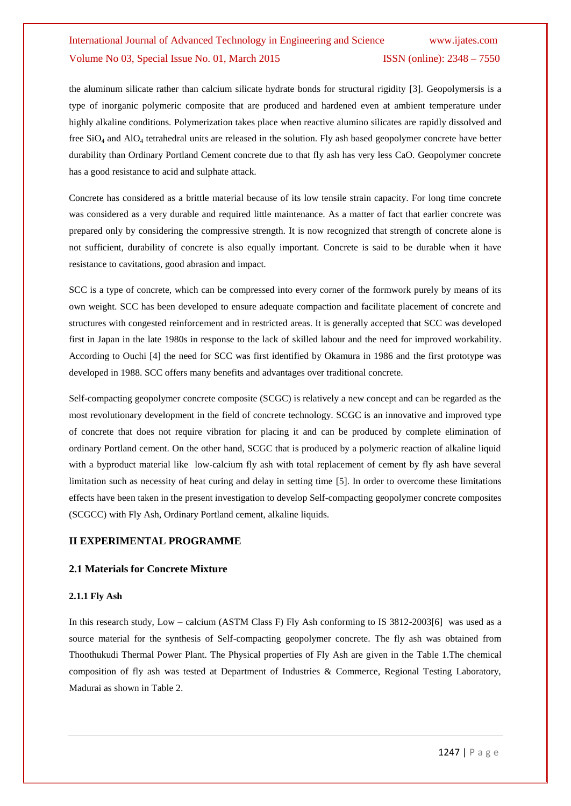the aluminum silicate rather than calcium silicate hydrate bonds for structural rigidity [3]. Geopolymersis is a type of inorganic polymeric composite that are produced and hardened even at ambient temperature under highly alkaline conditions. Polymerization takes place when reactive alumino silicates are rapidly dissolved and free  $SiO<sub>4</sub>$  and  $AlO<sub>4</sub>$  tetrahedral units are released in the solution. Fly ash based geopolymer concrete have better durability than Ordinary Portland Cement concrete due to that fly ash has very less CaO. Geopolymer concrete has a good resistance to acid and sulphate attack.

Concrete has considered as a brittle material because of its low tensile strain capacity. For long time concrete was considered as a very durable and required little maintenance. As a matter of fact that earlier concrete was prepared only by considering the compressive strength. It is now recognized that strength of concrete alone is not sufficient, durability of concrete is also equally important. Concrete is said to be durable when it have resistance to cavitations, good abrasion and impact.

SCC is a type of concrete, which can be compressed into every corner of the formwork purely by means of its own weight. SCC has been developed to ensure adequate compaction and facilitate placement of concrete and structures with congested reinforcement and in restricted areas. It is generally accepted that SCC was developed first in Japan in the late 1980s in response to the lack of skilled labour and the need for improved workability. According to Ouchi [4] the need for SCC was first identified by Okamura in 1986 and the first prototype was developed in 1988. SCC offers many benefits and advantages over traditional concrete.

Self-compacting geopolymer concrete composite (SCGC) is relatively a new concept and can be regarded as the most revolutionary development in the field of concrete technology. SCGC is an innovative and improved type of concrete that does not require vibration for placing it and can be produced by complete elimination of ordinary Portland cement. On the other hand, SCGC that is produced by a polymeric reaction of alkaline liquid with a byproduct material like low-calcium fly ash with total replacement of cement by fly ash have several limitation such as necessity of heat curing and delay in setting time [5]. In order to overcome these limitations effects have been taken in the present investigation to develop Self-compacting geopolymer concrete composites (SCGCC) with Fly Ash, Ordinary Portland cement, alkaline liquids.

#### **II EXPERIMENTAL PROGRAMME**

#### **2.1 Materials for Concrete Mixture**

#### **2.1.1 Fly Ash**

In this research study, Low – calcium (ASTM Class F) Fly Ash conforming to IS 3812-2003[6] was used as a source material for the synthesis of Self-compacting geopolymer concrete. The fly ash was obtained from Thoothukudi Thermal Power Plant. The Physical properties of Fly Ash are given in the Table 1.The chemical composition of fly ash was tested at Department of Industries & Commerce, Regional Testing Laboratory, Madurai as shown in Table 2.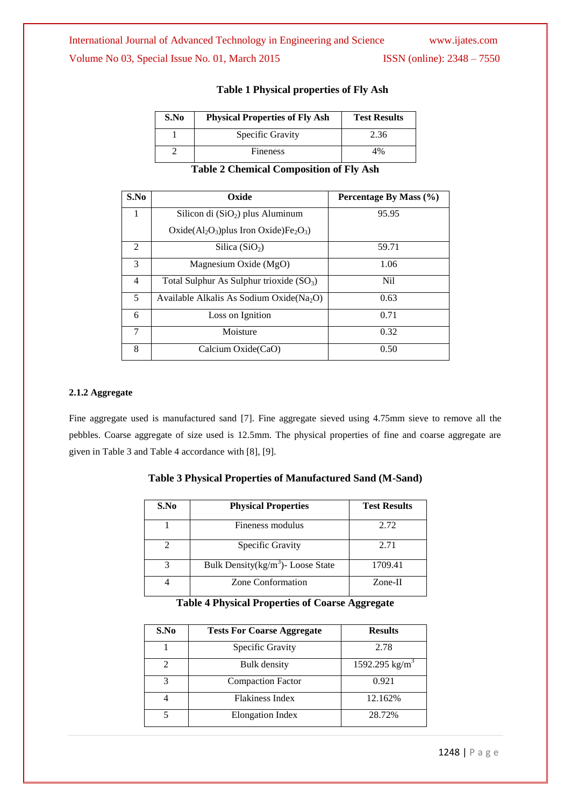# International Journal of Advanced Technology in Engineering and Science www.ijates.com

Volume No 03, Special Issue No. 01, March 2015 ISSN (online): 2348 - 7550

| S.No | <b>Physical Properties of Fly Ash</b> | <b>Test Results</b> |
|------|---------------------------------------|---------------------|
|      | Specific Gravity                      | 2.36                |
|      | <b>Fineness</b>                       | 4%                  |

#### **Table 1 Physical properties of Fly Ash**

**Table 2 Chemical Composition of Fly Ash**

| S.No                        | Oxide                                                                | Percentage By Mass $(\% )$ |
|-----------------------------|----------------------------------------------------------------------|----------------------------|
| 1                           | Silicon di $(SiO2)$ plus Aluminum                                    | 95.95                      |
|                             | Oxide( $Al_2O_3$ ) plus Iron Oxide) Fe <sub>2</sub> O <sub>3</sub> ) |                            |
| $\mathcal{D}_{\mathcal{L}}$ | Silica $(SiO2)$                                                      | 59.71                      |
| $\mathcal{E}$               | Magnesium Oxide (MgO)                                                | 1.06                       |
| $\overline{4}$              | Total Sulphur As Sulphur trioxide $(SO_3)$                           | N <sub>i</sub>             |
| 5                           | Available Alkalis As Sodium Oxide ( $Na2O$ )                         | 0.63                       |
| 6                           | Loss on Ignition                                                     | 0.71                       |
| 7                           | Moisture                                                             | 0.32                       |
| 8                           | Calcium Oxide(CaO)                                                   | 0.50                       |

#### **2.1.2 Aggregate**

Fine aggregate used is manufactured sand [7]. Fine aggregate sieved using 4.75mm sieve to remove all the pebbles. Coarse aggregate of size used is 12.5mm. The physical properties of fine and coarse aggregate are given in Table 3 and Table 4 accordance with [8], [9].

# **Table 3 Physical Properties of Manufactured Sand (M-Sand)**

| S.No | <b>Physical Properties</b>            | <b>Test Results</b> |
|------|---------------------------------------|---------------------|
|      | Fineness modulus                      | 2.72                |
|      | Specific Gravity                      | 2.71                |
|      | Bulk Density $(kg/m^3)$ - Loose State | 1709.41             |
|      | Zone Conformation                     | $Zone-II$           |

#### **Table 4 Physical Properties of Coarse Aggregate**

| S.No | <b>Tests For Coarse Aggregate</b> | <b>Results</b>             |
|------|-----------------------------------|----------------------------|
|      | Specific Gravity                  | 2.78                       |
| 2    | Bulk density                      | 1592.295 kg/m <sup>3</sup> |
| 3    | <b>Compaction Factor</b>          | 0.921                      |
|      | Flakiness Index                   | 12.162%                    |
|      | <b>Elongation Index</b>           | 28.72%                     |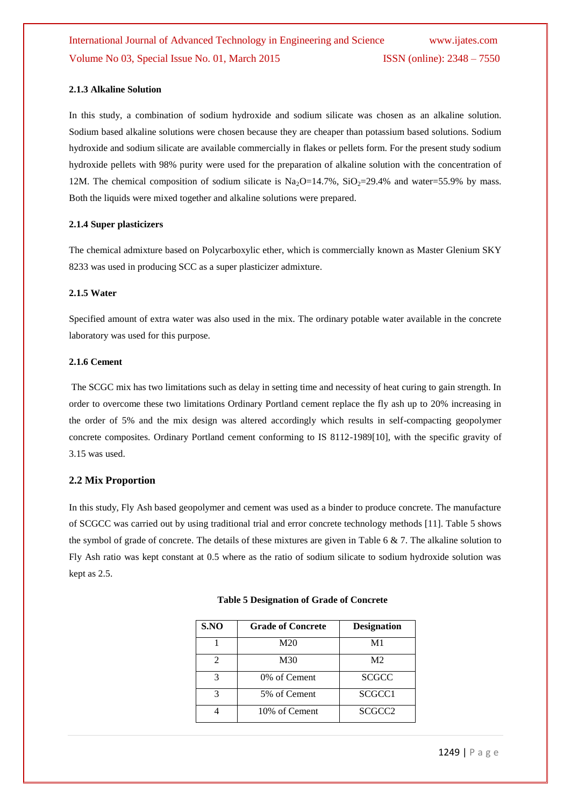#### **2.1.3 Alkaline Solution**

In this study, a combination of sodium hydroxide and sodium silicate was chosen as an alkaline solution. Sodium based alkaline solutions were chosen because they are cheaper than potassium based solutions. Sodium hydroxide and sodium silicate are available commercially in flakes or pellets form. For the present study sodium hydroxide pellets with 98% purity were used for the preparation of alkaline solution with the concentration of 12M. The chemical composition of sodium silicate is  $Na<sub>2</sub>O=14.7\%$ ,  $SiO<sub>2</sub>=29.4\%$  and water=55.9% by mass. Both the liquids were mixed together and alkaline solutions were prepared.

#### **2.1.4 Super plasticizers**

The chemical admixture based on Polycarboxylic ether, which is commercially known as Master Glenium SKY 8233 was used in producing SCC as a super plasticizer admixture.

#### **2.1.5 Water**

Specified amount of extra water was also used in the mix. The ordinary potable water available in the concrete laboratory was used for this purpose.

#### **2.1.6 Cement**

The SCGC mix has two limitations such as delay in setting time and necessity of heat curing to gain strength. In order to overcome these two limitations Ordinary Portland cement replace the fly ash up to 20% increasing in the order of 5% and the mix design was altered accordingly which results in self-compacting geopolymer concrete composites. Ordinary Portland cement conforming to IS 8112-1989[10], with the specific gravity of 3.15 was used.

#### **2.2 Mix Proportion**

In this study, Fly Ash based geopolymer and cement was used as a binder to produce concrete. The manufacture of SCGCC was carried out by using traditional trial and error concrete technology methods [11]. Table 5 shows the symbol of grade of concrete. The details of these mixtures are given in Table 6  $\&$  7. The alkaline solution to Fly Ash ratio was kept constant at 0.5 where as the ratio of sodium silicate to sodium hydroxide solution was kept as 2.5.

| S.NO                        | <b>Grade of Concrete</b> | <b>Designation</b> |
|-----------------------------|--------------------------|--------------------|
|                             | M20                      | M1                 |
| $\mathcal{D}_{\mathcal{A}}$ | M30                      | M <sub>2</sub>     |
| 3                           | 0\% of Cement            | <b>SCGCC</b>       |
| 3                           | 5% of Cement             | SCGCC1             |
|                             | 10% of Cement            | SCGCC <sub>2</sub> |

#### **Table 5 Designation of Grade of Concrete**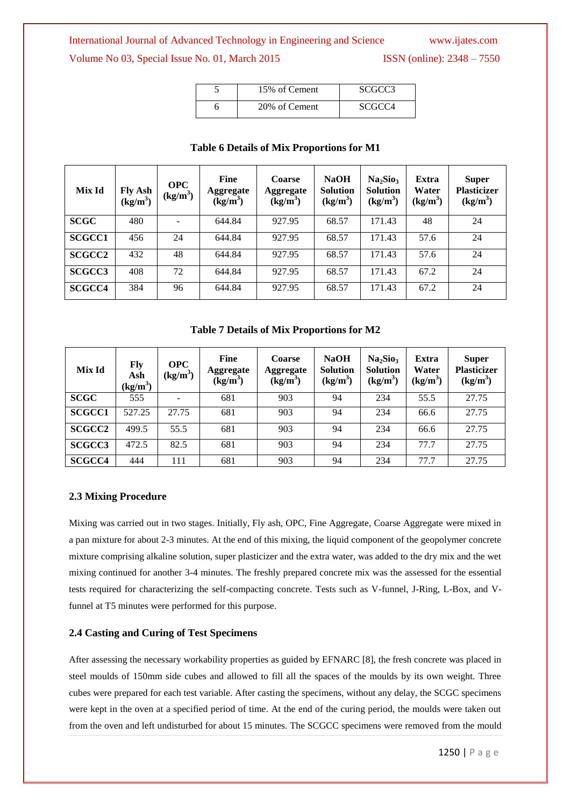#### International Journal of Advanced Technology in Engineering and Science www.ijates.com

### Volume No 03, Special Issue No. 01, March 2015 ISSN (online): 2348 – 7550

| 15% of Cement | SCGCC3             |
|---------------|--------------------|
| 20% of Cement | SCGCC <sub>4</sub> |

| Mix Id             | Fly Ash $(kg/m3)$ | <b>OPC</b><br>$(kg/m^3)$ | <b>Fine</b><br>Aggregate<br>$(kg/m^3)$ | Coarse<br><b>Aggregate</b><br>$(kg/m^3)$ | <b>NaOH</b><br><b>Solution</b><br>$(kg/m^3)$ | Na <sub>2</sub> Sio <sub>3</sub><br><b>Solution</b><br>$(kg/m^3)$ | Extra<br>Water<br>$(kg/m^3)$ | <b>Super</b><br><b>Plasticizer</b><br>$(kg/m^3)$ |
|--------------------|-------------------|--------------------------|----------------------------------------|------------------------------------------|----------------------------------------------|-------------------------------------------------------------------|------------------------------|--------------------------------------------------|
| <b>SCGC</b>        | 480               |                          | 644.84                                 | 927.95                                   | 68.57                                        | 171.43                                                            | 48                           | 24                                               |
| <b>SCGCC1</b>      | 456               | 24                       | 644.84                                 | 927.95                                   | 68.57                                        | 171.43                                                            | 57.6                         | 24                                               |
| <b>SCGCC2</b>      | 432               | 48                       | 644.84                                 | 927.95                                   | 68.57                                        | 171.43                                                            | 57.6                         | 24                                               |
| SCGCC <sub>3</sub> | 408               | 72                       | 644.84                                 | 927.95                                   | 68.57                                        | 171.43                                                            | 67.2                         | 24                                               |
| <b>SCGCC4</b>      | 384               | 96                       | 644.84                                 | 927.95                                   | 68.57                                        | 171.43                                                            | 67.2                         | 24                                               |

### **Table 6 Details of Mix Proportions for M1**

**Table 7 Details of Mix Proportions for M2**

| Mix Id        | Fly<br>Ash<br>$(kg/m^3)$ | <b>OPC</b><br>$(kg/m^3)$ | Fine<br><b>Aggregate</b><br>$(kg/m^3)$ | Coarse<br><b>Aggregate</b><br>$(kg/m^3)$ | <b>NaOH</b><br><b>Solution</b><br>$(kg/m^3)$ | Na <sub>2</sub> Sio <sub>3</sub><br><b>Solution</b><br>$(kg/m^3)$ | Extra<br>Water<br>$(kg/m^3)$ | <b>Super</b><br><b>Plasticizer</b><br>$(kg/m^3)$ |
|---------------|--------------------------|--------------------------|----------------------------------------|------------------------------------------|----------------------------------------------|-------------------------------------------------------------------|------------------------------|--------------------------------------------------|
| <b>SCGC</b>   | 555                      | -                        | 681                                    | 903                                      | 94                                           | 234                                                               | 55.5                         | 27.75                                            |
| <b>SCGCC1</b> | 527.25                   | 27.75                    | 681                                    | 903                                      | 94                                           | 234                                                               | 66.6                         | 27.75                                            |
| <b>SCGCC2</b> | 499.5                    | 55.5                     | 681                                    | 903                                      | 94                                           | 234                                                               | 66.6                         | 27.75                                            |
| <b>SCGCC3</b> | 472.5                    | 82.5                     | 681                                    | 903                                      | 94                                           | 234                                                               | 77.7                         | 27.75                                            |
| <b>SCGCC4</b> | 444                      | 111                      | 681                                    | 903                                      | 94                                           | 234                                                               | 77.7                         | 27.75                                            |

#### **2.3 Mixing Procedure**

Mixing was carried out in two stages. Initially, Fly ash, OPC, Fine Aggregate, Coarse Aggregate were mixed in a pan mixture for about 2-3 minutes. At the end of this mixing, the liquid component of the geopolymer concrete mixture comprising alkaline solution, super plasticizer and the extra water, was added to the dry mix and the wet mixing continued for another 3-4 minutes. The freshly prepared concrete mix was the assessed for the essential tests required for characterizing the self-compacting concrete. Tests such as V-funnel, J-Ring, L-Box, and Vfunnel at T5 minutes were performed for this purpose.

#### **2.4 Casting and Curing of Test Specimens**

After assessing the necessary workability properties as guided by EFNARC [8], the fresh concrete was placed in steel moulds of 150mm side cubes and allowed to fill all the spaces of the moulds by its own weight. Three cubes were prepared for each test variable. After casting the specimens, without any delay, the SCGC specimens were kept in the oven at a specified period of time. At the end of the curing period, the moulds were taken out from the oven and left undisturbed for about 15 minutes. The SCGCC specimens were removed from the mould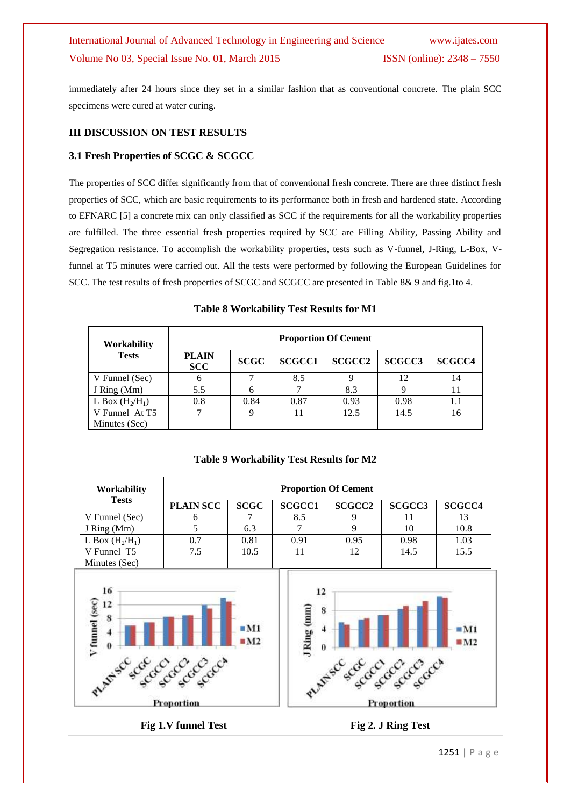immediately after 24 hours since they set in a similar fashion that as conventional concrete. The plain SCC specimens were cured at water curing.

#### **III DISCUSSION ON TEST RESULTS**

#### **3.1 Fresh Properties of SCGC & SCGCC**

The properties of SCC differ significantly from that of conventional fresh concrete. There are three distinct fresh properties of SCC, which are basic requirements to its performance both in fresh and hardened state. According to EFNARC [5] a concrete mix can only classified as SCC if the requirements for all the workability properties are fulfilled. The three essential fresh properties required by SCC are Filling Ability, Passing Ability and Segregation resistance. To accomplish the workability properties, tests such as V-funnel, J-Ring, L-Box, Vfunnel at T5 minutes were carried out. All the tests were performed by following the European Guidelines for SCC. The test results of fresh properties of SCGC and SCGCC are presented in Table 8& 9 and fig.1to 4.

| Workability       | <b>Proportion Of Cement</b> |             |               |               |                    |               |  |  |
|-------------------|-----------------------------|-------------|---------------|---------------|--------------------|---------------|--|--|
| <b>Tests</b>      | <b>PLAIN</b><br><b>SCC</b>  | <b>SCGC</b> | <b>SCGCC1</b> | <b>SCGCC2</b> | SCGCC <sub>3</sub> | <b>SCGCC4</b> |  |  |
| V Funnel (Sec)    |                             |             | 8.5           |               | 12                 | 14            |  |  |
| J Ring (Mm)       | 5.5                         |             |               | 8.3           |                    |               |  |  |
| L Box $(H_2/H_1)$ | 0.8                         | 0.84        | 0.87          | 0.93          | 0.98               | 1.1           |  |  |
| V Funnel At T5    |                             |             |               | 12.5          | 14.5               | 16            |  |  |
| Minutes (Sec)     |                             |             |               |               |                    |               |  |  |

#### **Table 8 Workability Test Results for M1**



**Table 9 Workability Test Results for M2**

1251 | P a g e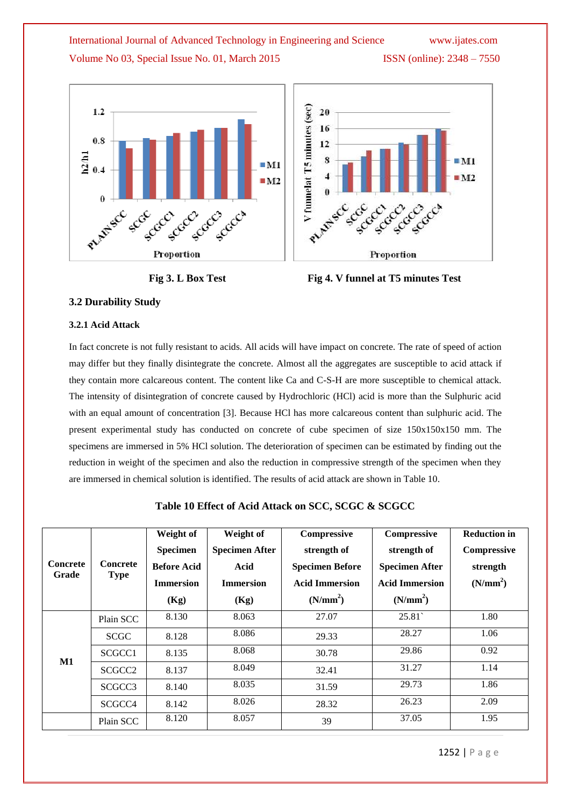





#### **3.2 Durability Study**

#### **3.2.1 Acid Attack**

In fact concrete is not fully resistant to acids. All acids will have impact on concrete. The rate of speed of action may differ but they finally disintegrate the concrete. Almost all the aggregates are susceptible to acid attack if they contain more calcareous content. The content like Ca and C-S-H are more susceptible to chemical attack. The intensity of disintegration of concrete caused by Hydrochloric (HCl) acid is more than the Sulphuric acid with an equal amount of concentration [3]. Because HCl has more calcareous content than sulphuric acid. The present experimental study has conducted on concrete of cube specimen of size 150x150x150 mm. The specimens are immersed in 5% HCl solution. The deterioration of specimen can be estimated by finding out the reduction in weight of the specimen and also the reduction in compressive strength of the specimen when they are immersed in chemical solution is identified. The results of acid attack are shown in Table 10.

| Table 10 Effect of Acid Attack on SCC, SCGC & SCGCC |  |  |
|-----------------------------------------------------|--|--|
|-----------------------------------------------------|--|--|

| <b>Concrete</b><br>Grade | Concrete<br><b>Type</b> | Weight of<br><b>Specimen</b><br><b>Before Acid</b><br><b>Immersion</b><br>(Kg) | Weight of<br><b>Specimen After</b><br>Acid<br><b>Immersion</b><br>(Kg) | Compressive<br>strength of<br><b>Specimen Before</b><br><b>Acid Immersion</b><br>(N/mm <sup>2</sup> ) | Compressive<br>strength of<br><b>Specimen After</b><br><b>Acid Immersion</b><br>(N/mm <sup>2</sup> ) | <b>Reduction in</b><br><b>Compressive</b><br>strength<br>(N/mm <sup>2</sup> ) |
|--------------------------|-------------------------|--------------------------------------------------------------------------------|------------------------------------------------------------------------|-------------------------------------------------------------------------------------------------------|------------------------------------------------------------------------------------------------------|-------------------------------------------------------------------------------|
|                          | Plain SCC               | 8.130                                                                          | 8.063                                                                  | 27.07                                                                                                 | 25.81                                                                                                | 1.80                                                                          |
|                          | <b>SCGC</b>             | 8.128                                                                          | 8.086                                                                  | 29.33                                                                                                 | 28.27                                                                                                | 1.06                                                                          |
|                          | SCGCC1                  | 8.135                                                                          | 8.068                                                                  | 30.78                                                                                                 | 29.86                                                                                                | 0.92                                                                          |
| $\mathbf{M1}$            | SCGCC <sub>2</sub>      | 8.137                                                                          | 8.049                                                                  | 32.41                                                                                                 | 31.27                                                                                                | 1.14                                                                          |
|                          | SCGCC <sub>3</sub>      | 8.140                                                                          | 8.035                                                                  | 31.59                                                                                                 | 29.73                                                                                                | 1.86                                                                          |
|                          | SCGCC <sub>4</sub>      | 8.142                                                                          | 8.026                                                                  | 28.32                                                                                                 | 26.23                                                                                                | 2.09                                                                          |
|                          | Plain SCC               | 8.120                                                                          | 8.057                                                                  | 39                                                                                                    | 37.05                                                                                                | 1.95                                                                          |

1252 | P a g e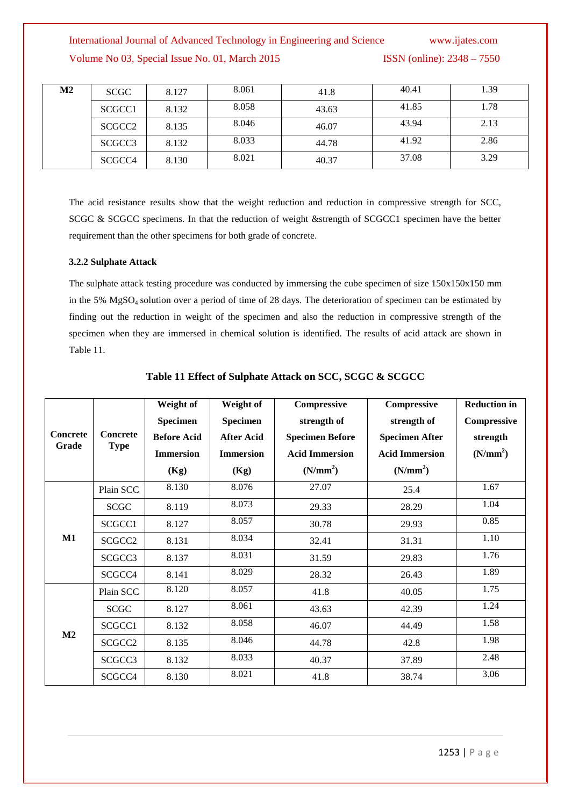| $\mathbf{M2}$ | SCGC               | 8.127 | 8.061 | 41.8  | 40.41 | 1.39 |
|---------------|--------------------|-------|-------|-------|-------|------|
|               | SCGCC1             | 8.132 | 8.058 | 43.63 | 41.85 | 1.78 |
|               | SCGCC <sub>2</sub> | 8.135 | 8.046 | 46.07 | 43.94 | 2.13 |
|               | SCGCC <sub>3</sub> | 8.132 | 8.033 | 44.78 | 41.92 | 2.86 |
|               | SCGCC <sub>4</sub> | 8.130 | 8.021 | 40.37 | 37.08 | 3.29 |

The acid resistance results show that the weight reduction and reduction in compressive strength for SCC, SCGC & SCGCC specimens. In that the reduction of weight &strength of SCGCC1 specimen have the better requirement than the other specimens for both grade of concrete.

#### **3.2.2 Sulphate Attack**

The sulphate attack testing procedure was conducted by immersing the cube specimen of size  $150x150x150$  mm in the 5% MgSO4 solution over a period of time of 28 days. The deterioration of specimen can be estimated by finding out the reduction in weight of the specimen and also the reduction in compressive strength of the specimen when they are immersed in chemical solution is identified. The results of acid attack are shown in Table 11.

|                          |                                | Weight of<br>Specimen | Weight of<br>Specimen | Compressive<br>strength of | Compressive<br>strength of | <b>Reduction in</b><br>Compressive |
|--------------------------|--------------------------------|-----------------------|-----------------------|----------------------------|----------------------------|------------------------------------|
| <b>Concrete</b><br>Grade | <b>Concrete</b><br><b>Type</b> | <b>Before Acid</b>    | <b>After Acid</b>     | <b>Specimen Before</b>     | <b>Specimen After</b>      | strength                           |
|                          |                                | <b>Immersion</b>      | <b>Immersion</b>      | <b>Acid Immersion</b>      | <b>Acid Immersion</b>      | (N/mm <sup>2</sup> )               |
|                          |                                | (Kg)                  | (Kg)                  | (N/mm <sup>2</sup> )       | (N/mm <sup>2</sup> )       |                                    |
| M1                       | Plain SCC                      | 8.130                 | 8.076                 | 27.07                      | 25.4                       | 1.67                               |
|                          | SCGC                           | 8.119                 | 8.073                 | 29.33                      | 28.29                      | 1.04                               |
|                          | SCGCC1                         | 8.127                 | 8.057                 | 30.78                      | 29.93                      | 0.85                               |
|                          | SCGCC <sub>2</sub>             | 8.131                 | 8.034                 | 32.41                      | 31.31                      | 1.10                               |
|                          | SCGCC3                         | 8.137                 | 8.031                 | 31.59                      | 29.83                      | 1.76                               |
|                          | SCGCC4                         | 8.141                 | 8.029                 | 28.32                      | 26.43                      | 1.89                               |
| $\mathbf{M2}$            | Plain SCC                      | 8.120                 | 8.057                 | 41.8                       | 40.05                      | 1.75                               |
|                          | <b>SCGC</b>                    | 8.127                 | 8.061                 | 43.63                      | 42.39                      | 1.24                               |
|                          | SCGCC1                         | 8.132                 | 8.058                 | 46.07                      | 44.49                      | 1.58                               |
|                          | SCGCC <sub>2</sub>             | 8.135                 | 8.046                 | 44.78                      | 42.8                       | 1.98                               |
|                          | SCGCC3                         | 8.132                 | 8.033                 | 40.37                      | 37.89                      | 2.48                               |
|                          | SCGCC4                         | 8.130                 | 8.021                 | 41.8                       | 38.74                      | 3.06                               |

#### **Table 11 Effect of Sulphate Attack on SCC, SCGC & SCGCC**

1253 | P a g e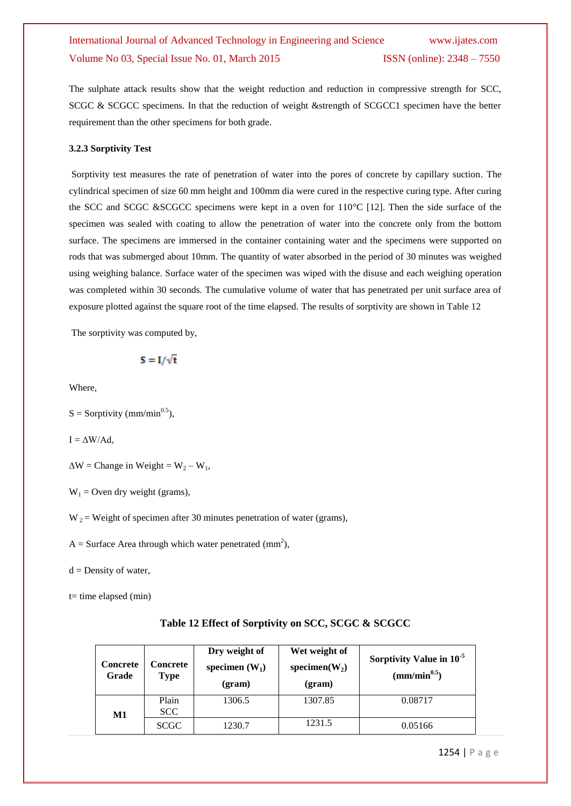The sulphate attack results show that the weight reduction and reduction in compressive strength for SCC, SCGC & SCGCC specimens. In that the reduction of weight &strength of SCGCC1 specimen have the better requirement than the other specimens for both grade.

#### **3.2.3 Sorptivity Test**

Sorptivity test measures the rate of penetration of water into the pores of concrete by capillary suction. The cylindrical specimen of size 60 mm height and 100mm dia were cured in the respective curing type. After curing the SCC and SCGC &SCGCC specimens were kept in a oven for 110°C [12]. Then the side surface of the specimen was sealed with coating to allow the penetration of water into the concrete only from the bottom surface. The specimens are immersed in the container containing water and the specimens were supported on rods that was submerged about 10mm. The quantity of water absorbed in the period of 30 minutes was weighed using weighing balance. Surface water of the specimen was wiped with the disuse and each weighing operation was completed within 30 seconds. The cumulative volume of water that has penetrated per unit surface area of exposure plotted against the square root of the time elapsed. The results of sorptivity are shown in Table 12

The sorptivity was computed by,

$$
S = I/\sqrt{t}
$$

Where,

 $S =$  Sorptivity (mm/min<sup>0.5</sup>),

 $I = \Delta W / Ad$ ,

 $\Delta W =$ Change in Weight = W<sub>2</sub> – W<sub>1</sub>,

 $W_1$  = Oven dry weight (grams),

 $W_2$  = Weight of specimen after 30 minutes penetration of water (grams),

A = Surface Area through which water penetrated (mm<sup>2</sup>),

 $d =$  Density of water,

 $t=$  time elapsed (min)

| Table 12 Effect of Sorptivity on SCC, SCGC & SCGCC |  |
|----------------------------------------------------|--|
|----------------------------------------------------|--|

| <b>Concrete</b><br>Grade | <b>Concrete</b><br><b>Type</b> | Dry weight of<br>specimen $(W_1)$<br>(gram) | Wet weight of<br>specimen $(W_2)$<br>(gram) | Sorptivity Value in 10 <sup>-5</sup><br>$\text{mm/min}^{0.5}$ |
|--------------------------|--------------------------------|---------------------------------------------|---------------------------------------------|---------------------------------------------------------------|
| $\bf M1$                 | Plain<br>SCC                   | 1306.5                                      | 1307.85                                     | 0.08717                                                       |
|                          | <b>SCGC</b>                    | 1230.7                                      | 1231.5                                      | 0.05166                                                       |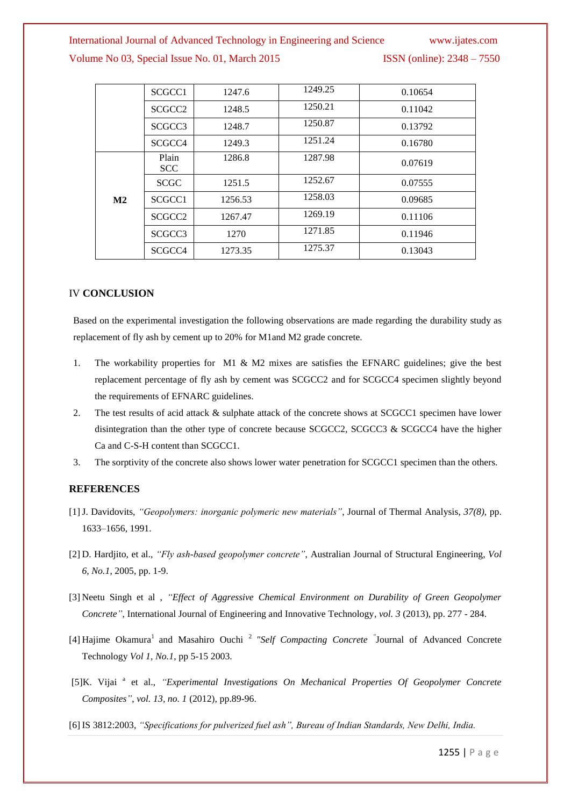### International Journal of Advanced Technology in Engineering and Science www.ijates.com

#### Volume No 03, Special Issue No. 01, March 2015 ISSN (online): 2348 – 7550

|               | SCGCC1              | 1247.6  | 1249.25 | 0.10654 |
|---------------|---------------------|---------|---------|---------|
|               | SCGCC <sub>2</sub>  | 1248.5  | 1250.21 | 0.11042 |
|               | SCGCC <sub>3</sub>  | 1248.7  | 1250.87 | 0.13792 |
|               | SCGCC <sub>4</sub>  | 1249.3  | 1251.24 | 0.16780 |
|               | Plain<br><b>SCC</b> | 1286.8  | 1287.98 | 0.07619 |
|               | <b>SCGC</b>         | 1251.5  | 1252.67 | 0.07555 |
| $\mathbf{M2}$ | SCGCC1              | 1256.53 | 1258.03 | 0.09685 |
|               | SCGCC <sub>2</sub>  | 1267.47 | 1269.19 | 0.11106 |
|               | SCGCC <sub>3</sub>  | 1270    | 1271.85 | 0.11946 |
|               | SCGCC4              | 1273.35 | 1275.37 | 0.13043 |

#### IV **CONCLUSION**

Based on the experimental investigation the following observations are made regarding the durability study as replacement of fly ash by cement up to 20% for M1and M2 grade concrete.

- 1. The workability properties for M1 & M2 mixes are satisfies the EFNARC guidelines; give the best replacement percentage of fly ash by cement was SCGCC2 and for SCGCC4 specimen slightly beyond the requirements of EFNARC guidelines.
- 2. The test results of acid attack & sulphate attack of the concrete shows at SCGCC1 specimen have lower disintegration than the other type of concrete because SCGCC2, SCGCC3  $\&$  SCGCC4 have the higher Ca and C-S-H content than SCGCC1.
- 3. The sorptivity of the concrete also shows lower water penetration for SCGCC1 specimen than the others.

#### **REFERENCES**

- [1]J. Davidovits, *"Geopolymers: inorganic polymeric new materials"*, Journal of Thermal Analysis, *37(8),* pp. 1633–1656, 1991.
- [2] D. Hardjito, et al., *"Fly ash-based geopolymer concrete"*, Australian Journal of Structural Engineering, *Vol 6, No.1*, 2005, pp. 1-9.
- [3] Neetu Singh et al , *"Effect of Aggressive Chemical Environment on Durability of Green Geopolymer Concrete"*, International Journal of Engineering and Innovative Technology, *vol. 3* (2013), pp. 277 - 284.
- [4] Hajime Okamura<sup>1</sup> and Masahiro Ouchi<sup>2</sup> "Self Compacting Concrete <sup>"</sup>Journal of Advanced Concrete Technology *Vol 1, No.1*, pp 5-15 2003.
- [5]K. Vijai<sup>a</sup> et al., "Experimental Investigations On Mechanical Properties Of Geopolymer Concrete *Composites"*, *vol. 13, no. 1* (2012), pp.89-96.
- [6] IS 3812:2003, *"Specifications for pulverized fuel ash", Bureau of Indian Standards, New Delhi, India.*